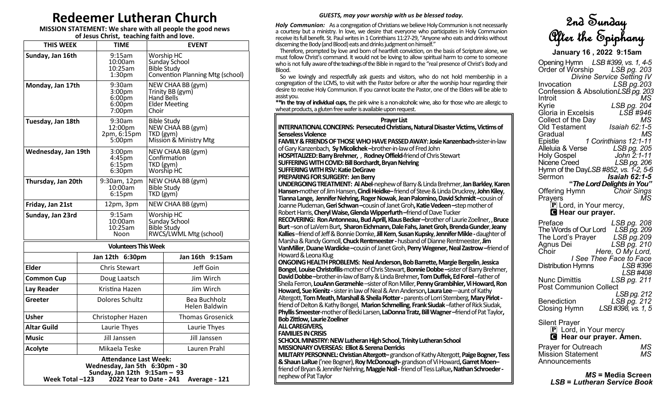# **Redeemer Lutheran Church**

#### **MISSION STATEMENT: We share with all people the good news of Jesus Christ, teaching faith and love.**

| <b>THIS WEEK</b>                                                                               |                      | <b>TIME</b>                                                               | <b>EVENT</b>                                                                         |                                                                                       |  |  |
|------------------------------------------------------------------------------------------------|----------------------|---------------------------------------------------------------------------|--------------------------------------------------------------------------------------|---------------------------------------------------------------------------------------|--|--|
| Sunday, Jan 16th                                                                               |                      | 9:15am<br>10:00am<br>10:25am<br>1:30 <sub>pm</sub>                        |                                                                                      | Worship HC<br>Sunday School<br><b>Bible Study</b><br>Convention Planning Mtg (school) |  |  |
| Monday, Jan 17th                                                                               |                      | 9:30am<br>3:00pm<br>6:00 <sub>pm</sub><br>6:00 <sub>pr</sub><br>$7:00$ pm | NEW CHAA BB (gym)<br>Trinity BB (gym)<br>Hand Bells<br><b>Elder Meeting</b><br>Choir |                                                                                       |  |  |
| Tuesday, Jan 18th                                                                              |                      | $9:30$ am<br>12:00pm<br>2pm, 6:15pm<br>5:00 <sub>pm</sub>                 | <b>Bible Study</b><br>NEW CHAA BB (gym)<br>TKD (gym)<br>Mission & Ministry Mtg       |                                                                                       |  |  |
| Wednesday, Jan 19th                                                                            |                      | 3:00pm<br>$4:45$ pm<br>$6:15$ pm<br>6:30 <sub>pm</sub>                    | NEW CHAA BB (gym)<br>Confirmation<br>TKD (gym)<br>Worship HC                         |                                                                                       |  |  |
| Thursday, Jan 20th                                                                             |                      | 9:30am, 12pm<br>10:00am<br>6:15 <sub>pm</sub>                             | NEW CHAA BB (gym)<br><b>Bible Study</b><br>TKD (gym)                                 |                                                                                       |  |  |
| Friday, Jan 21st                                                                               |                      | 12pm, 3pm                                                                 |                                                                                      | NEW CHAA BB (gym)                                                                     |  |  |
| Sunday, Jan 23rd                                                                               |                      | 9:15am<br>10:00am<br>10:25am<br>Noon                                      | Worship HC<br>Sunday School<br><b>Bible Study</b><br>RWCS/LWML Mtg (school)          |                                                                                       |  |  |
|                                                                                                |                      | <b>Volunteers This Week</b>                                               |                                                                                      |                                                                                       |  |  |
|                                                                                                |                      | Jan 12th 6:30pm                                                           |                                                                                      | Jan 16th 9:15am                                                                       |  |  |
| Elder                                                                                          | <b>Chris Stewart</b> |                                                                           |                                                                                      | Jeff Goin                                                                             |  |  |
| <b>Common Cup</b>                                                                              | Doug Laatsch         |                                                                           |                                                                                      | Jim Wirch                                                                             |  |  |
| Lay Reader                                                                                     | Kristina Hazen       |                                                                           |                                                                                      | Jim Wirch                                                                             |  |  |
| Greeter                                                                                        | Dolores Schultz      |                                                                           |                                                                                      | Bea Buchholz<br>Helen Baldwin                                                         |  |  |
| Usher                                                                                          | Christopher Hazen    |                                                                           |                                                                                      | Thomas Grosenick                                                                      |  |  |
| <b>Altar Guild</b>                                                                             | Laurie Thyes         |                                                                           |                                                                                      | Laurie Thyes                                                                          |  |  |
| <b>Music</b>                                                                                   | Jill Janssen         |                                                                           |                                                                                      | Jill Janssen                                                                          |  |  |
| <b>Acolyte</b>                                                                                 | Mikaela Teske        |                                                                           |                                                                                      | Lauren Prahl                                                                          |  |  |
| <b>Attendance Last Week:</b><br>Wednesday, Jan 5th 6:30pm - 30<br>Sunday, Jan 12th 9:15am - 93 |                      |                                                                           |                                                                                      |                                                                                       |  |  |

**Week Total –123 2022 Year to Date - 241 Average - 121**

## *GUESTS, may your worship with us be blessed today.*

*Holy Communion:* As a congregation of Christians we believe Holy Communion is not necessarily a courtesy but a ministry. In love, we desire that everyone who participates in Holy Communion receive its full benefit. St. Paul writes in 1 Corinthians 11:27-29, "Anyone who eats and drinks without discerning the Body (and Blood) eats and drinks judgment on himself."

 Therefore, prompted by love and born of heartfelt conviction, on the basis of Scripture alone, we must follow Christ's command. It would not be loving to allow spiritual harm to come to someone who is not fully aware of the teachings of the Bible in regard to the "real presence of Christ's Body and Blood.

 So we lovingly and respectfully ask guests and visitors, who do not hold membership in a congregation of the LCMS, to visit with the Pastor before or after the worship hour regarding their desire to receive Holy Communion. If you cannot locate the Pastor, one of the Elders will be able to assist you.

**\*\*In the tray of individual cups,** the pink wine is a non-alcoholic wine, also for those who are allergic to wheat products, a gluten free wafer is available upon request.

#### **Prayer List**

**INTERNATIONAL CONCERNS: Persecuted Christians, Natural Disaster Victims, Victims of Senseless Violence**

**FAMILY & FRIENDS OF THOSE WHO HAVE PASSED AWAY: Josie Kanzenbach-**sister-in-law of Gary Kanzenbach, **Sy Micolichek –**brother-in-law of Fred John

**HOSPITALIZED: Barry Brehmer,** , **Rodney Offield-**friend of Chris Stewart

**SUFFERING WITH COVID: Bill Borchardt, Bryan Nehring**

**SUFFERING WITH RSV: Katie DeGrave**

**PREPARING FOR SURGERY: Jen Berry**

**UNDERGOING TREATMENT: Al Abel**-nephew of Barry & Linda Brehmer, **Jan Barkley**, **Karen Hansen-**mother of Jim Hansen, **Cindi Heidke–**friend of Steve & Linda Druckrey, **John Kiley**, **Tianna Lange, Jennifer Nehring, Roger Nowak**, **Jean Palomino, David Schmidt –**cousin of Joanne Pludeman, **Geri Schwan –**cousin of Janet Groh**, Katie Vedeen –**step mother of Robert Harris, **Cheryl Waise, Glenda Wipperfurth –**friend of Dave Tucker **RECOVERING: Ron Antonneau, Bud Aprill, Klaus Becker –**brother of Laurie Zoellner, , **Bruce** 

**Burt** –son of LaVern Burt**, Sharon Eichmann, Dale Fahs, Janet Groh, Brenda Gunder**, **Jeany Kallies** –friend of Jeff & Bonnie Domke, **Jill Kern**, **Susan Kupsky**, **Jennifer Mikle -**daughter of Marsha & Randy Gomoll, **Chuck Rentmeester -**husband of Dianne Rentmeester, **Jim VanMiller**, **Duane Wardicke –**cousin of Janet Groh, **Perry Wegener, Neal Zastrow –**friend of Howard & Leona Klug

**ONGOING HEALTH PROBLEMS: Neal Anderson, Bob Barrette, Margie Bergelin**, **Jessica Bongel**, **Louise Christofilis**-mother of Chris Stewart,**Bonnie Dobbe –**sister of Barry Brehmer, **David Dobbe –**brother-in-law of Barry & Linda Brehmer**, Tom Duffek, Ed Forel** –father of Sheila Ferron, LouAnn Gerzmehle -sister of Ron Miller, Penny Grambihler, Vi Howard, Ron **Howard, Sue Kienitz -**sister in law of Neal & Ann Anderson**, Laura Lee**—aunt of Kathy Altergott, **Tom Meath, Marshall & Sheila Piotter -**parents of Lorri Sternberg, **Mary Pirlot**  friend of Delton & Kathy Bongel, **Marion Schmelling**, **Frank Siudak** –father of Rick Siudak, **Phyllis Smeester**-mother of Becki Larsen, **LaDonna Tratz, Bill Wagner –**friend of Pat Taylor**, Bob Zittlow, Laurie Zoellner**

**ALL CAREGIVERS,** 

**FAMILIES IN CRISIS**

**SCHOOL MINISTRY: NEW Lutheran High School, Trinity Lutheran School MISSIONARY OVERSEAS: Elliot & Serena Derricks**

**MILITARY PERSONNEL: Christian Altergott–**grandson of Kathy Altergott, **Paige Bogner, Tess & Shaun LaRue** ('nee Bogner), **Roy McDonough-**grandson of Vi Howard**, Garret Moen–** friend of Bryan & Jennifer Nehring, **Maggie Noll -**friend of Tess LaRue**, Nathan Schroeder**  nephew of Pat Taylor

2nd Sunday After the Epiphany

**January 16 , 2022 9:15am**

Opening Hymn *LSB #399, vs. 1, 4-5* Order of Worship  *Divine Service Setting IV*  Invocation *LSB pg.203* Confession & Absolution*LSB pg. 203* Introit<br>Kvrie Kyrie *LSB pg. 204* **Gloria in Excelsis** Collect of the Day *MS* Old Testament *Isaiah 62:1-5* MS<br>Epistle 1 Corinthians 12:1-11 Epistle *1 Corinthians 12:1-11* Alleluia & Verse Holy Gospel *John 2:1-11* Nicene Creed *LSB pg. 206* Hymn of the Day*LSB #852, vs. 1-2, 5-6*  Sermon *Isaiah 62:1-5* **"***The Lord Delights in You"* Offering Hymn *Choir Sings* **Prayers**  $\mathbf{\bar{P}}$  Lord, in Your mercy, C **Hear our prayer.**

| Preface<br>The Words of Our Lord<br>The Lord's Prayer<br>Agnus Dei<br>Choir | LSB pg. 208<br>LSB pg. 209<br>$LSB$ $pg.209$<br>LSB pg. 210<br>Here, O My Lord, |
|-----------------------------------------------------------------------------|---------------------------------------------------------------------------------|
|                                                                             | I See Thee Face to Face                                                         |
| Distribution Hymns                                                          | LSB #396<br>LSB #408                                                            |
| Nunc Dimittis<br><b>Post Communion Collect</b>                              | LSB pg. 211                                                                     |
|                                                                             | LSB pg. 212                                                                     |
| Benediction<br>Closing Hymn                                                 | LSB pg. 212<br>LSB #398, vs. 1, 5                                               |
| Silent Prayer                                                               |                                                                                 |

P Lord, in Your mercy  $\overline{C}$  Hear our prayer. Amen.

| Prayer for Outreach      | МS |
|--------------------------|----|
| <b>Mission Statement</b> | МS |
| Announcements            |    |

*MS* **= Media Screen** *LSB* **=** *Lutheran Service Book*